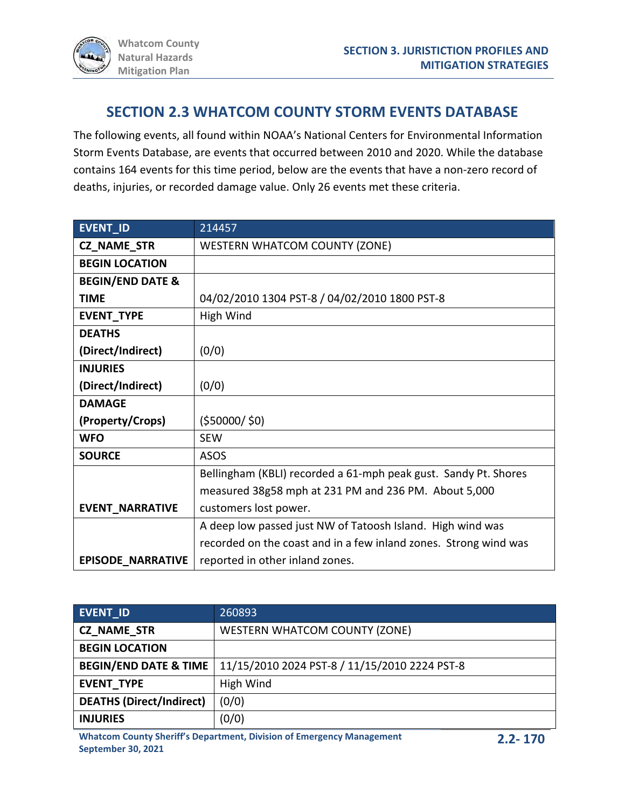## **SECTION 2.3 WHATCOM COUNTY STORM EVENTS DATABASE**

The following events, all found within NOAA's National Centers for Environmental Information Storm Events Database, are events that occurred between 2010 and 2020. While the database contains 164 events for this time period, below are the events that have a non-zero record of deaths, injuries, or recorded damage value. Only 26 events met these criteria.

| <b>EVENT ID</b>             | 214457                                                           |
|-----------------------------|------------------------------------------------------------------|
| CZ_NAME_STR                 | <b>WESTERN WHATCOM COUNTY (ZONE)</b>                             |
| <b>BEGIN LOCATION</b>       |                                                                  |
| <b>BEGIN/END DATE &amp;</b> |                                                                  |
| <b>TIME</b>                 | 04/02/2010 1304 PST-8 / 04/02/2010 1800 PST-8                    |
| EVENT_TYPE                  | High Wind                                                        |
| <b>DEATHS</b>               |                                                                  |
| (Direct/Indirect)           | (0/0)                                                            |
| <b>INJURIES</b>             |                                                                  |
| (Direct/Indirect)           | (0/0)                                                            |
| <b>DAMAGE</b>               |                                                                  |
| (Property/Crops)            | (550000/50)                                                      |
| <b>WFO</b>                  | <b>SEW</b>                                                       |
| <b>SOURCE</b>               | <b>ASOS</b>                                                      |
|                             | Bellingham (KBLI) recorded a 61-mph peak gust. Sandy Pt. Shores  |
|                             | measured 38g58 mph at 231 PM and 236 PM. About 5,000             |
| <b>EVENT_NARRATIVE</b>      | customers lost power.                                            |
|                             | A deep low passed just NW of Tatoosh Island. High wind was       |
|                             | recorded on the coast and in a few inland zones. Strong wind was |
| <b>EPISODE_NARRATIVE</b>    | reported in other inland zones.                                  |

| <b>EVENT ID</b>                  | 260893                                        |
|----------------------------------|-----------------------------------------------|
| <b>CZ NAME STR</b>               | WESTERN WHATCOM COUNTY (ZONE)                 |
| <b>BEGIN LOCATION</b>            |                                               |
| <b>BEGIN/END DATE &amp; TIME</b> | 11/15/2010 2024 PST-8 / 11/15/2010 2224 PST-8 |
| <b>EVENT TYPE</b>                | High Wind                                     |
| <b>DEATHS (Direct/Indirect)</b>  | (0/0)                                         |
| <b>INJURIES</b>                  | (0/0)                                         |

**Whatcom County Sheriff's Department, Division of Emergency Management September 30, 2021**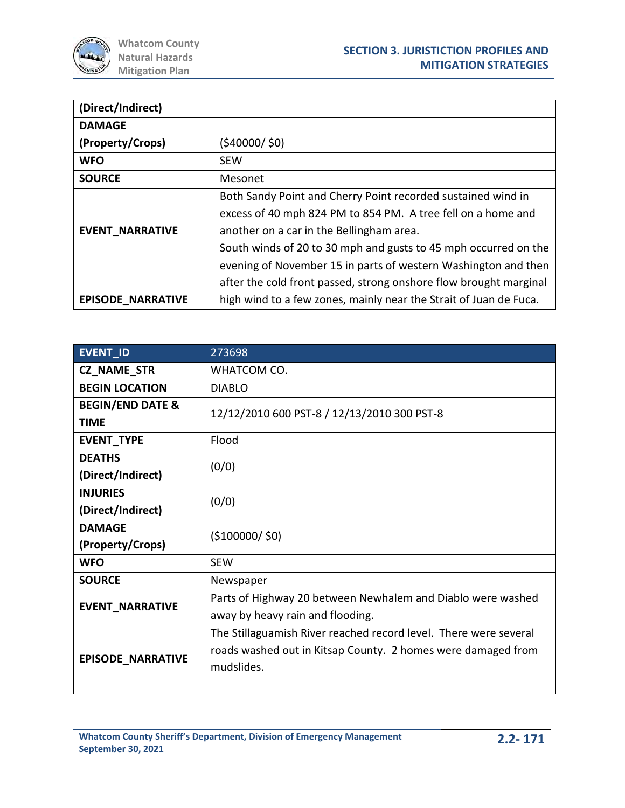

| (Direct/Indirect)        |                                                                   |
|--------------------------|-------------------------------------------------------------------|
| <b>DAMAGE</b>            |                                                                   |
| (Property/Crops)         | (540000/50)                                                       |
| <b>WFO</b>               | <b>SEW</b>                                                        |
| <b>SOURCE</b>            | Mesonet                                                           |
|                          | Both Sandy Point and Cherry Point recorded sustained wind in      |
|                          | excess of 40 mph 824 PM to 854 PM. A tree fell on a home and      |
| <b>EVENT NARRATIVE</b>   | another on a car in the Bellingham area.                          |
|                          | South winds of 20 to 30 mph and gusts to 45 mph occurred on the   |
|                          | evening of November 15 in parts of western Washington and then    |
|                          | after the cold front passed, strong onshore flow brought marginal |
| <b>EPISODE NARRATIVE</b> | high wind to a few zones, mainly near the Strait of Juan de Fuca. |

| EVENT_ID                    | 273698                                                           |
|-----------------------------|------------------------------------------------------------------|
| <b>CZ_NAME_STR</b>          | WHATCOM CO.                                                      |
| <b>BEGIN LOCATION</b>       | <b>DIABLO</b>                                                    |
| <b>BEGIN/END DATE &amp;</b> | 12/12/2010 600 PST-8 / 12/13/2010 300 PST-8                      |
| <b>TIME</b>                 |                                                                  |
| EVENT_TYPE                  | Flood                                                            |
| <b>DEATHS</b>               | (0/0)                                                            |
| (Direct/Indirect)           |                                                                  |
| <b>INJURIES</b>             | (0/0)                                                            |
| (Direct/Indirect)           |                                                                  |
| <b>DAMAGE</b>               | ( \$100000 / \$0)                                                |
| (Property/Crops)            |                                                                  |
| <b>WFO</b>                  | <b>SEW</b>                                                       |
| <b>SOURCE</b>               | Newspaper                                                        |
| <b>EVENT_NARRATIVE</b>      | Parts of Highway 20 between Newhalem and Diablo were washed      |
|                             | away by heavy rain and flooding.                                 |
| EPISODE_NARRATIVE           | The Stillaguamish River reached record level. There were several |
|                             | roads washed out in Kitsap County. 2 homes were damaged from     |
|                             | mudslides.                                                       |
|                             |                                                                  |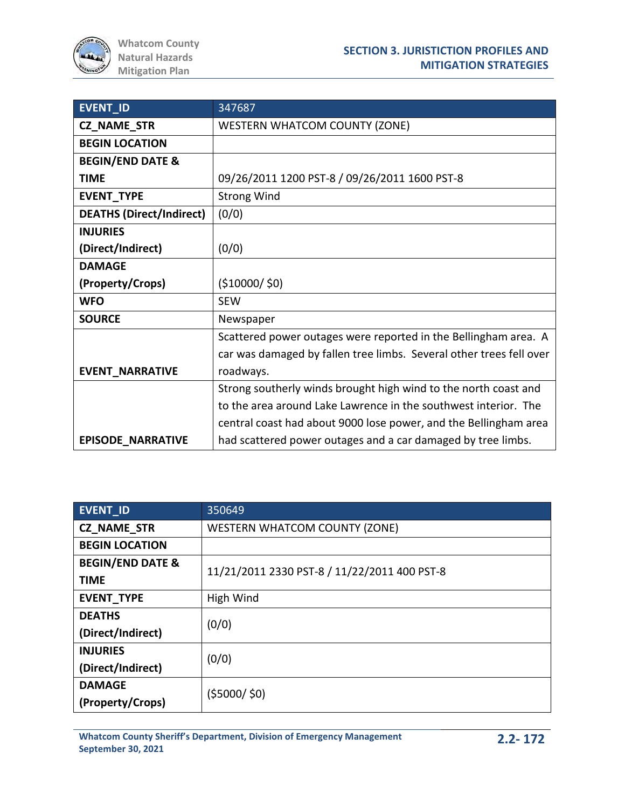| EVENT_ID                        | 347687                                                              |
|---------------------------------|---------------------------------------------------------------------|
| CZ_NAME_STR                     | <b>WESTERN WHATCOM COUNTY (ZONE)</b>                                |
| <b>BEGIN LOCATION</b>           |                                                                     |
| <b>BEGIN/END DATE &amp;</b>     |                                                                     |
| <b>TIME</b>                     | 09/26/2011 1200 PST-8 / 09/26/2011 1600 PST-8                       |
| EVENT_TYPE                      | <b>Strong Wind</b>                                                  |
| <b>DEATHS (Direct/Indirect)</b> | (0/0)                                                               |
| <b>INJURIES</b>                 |                                                                     |
| (Direct/Indirect)               | (0/0)                                                               |
| <b>DAMAGE</b>                   |                                                                     |
| (Property/Crops)                | (510000/50)                                                         |
| <b>WFO</b>                      | <b>SEW</b>                                                          |
| <b>SOURCE</b>                   | Newspaper                                                           |
|                                 | Scattered power outages were reported in the Bellingham area. A     |
|                                 | car was damaged by fallen tree limbs. Several other trees fell over |
| <b>EVENT_NARRATIVE</b>          | roadways.                                                           |
|                                 | Strong southerly winds brought high wind to the north coast and     |
|                                 | to the area around Lake Lawrence in the southwest interior. The     |
|                                 | central coast had about 9000 lose power, and the Bellingham area    |
| <b>EPISODE NARRATIVE</b>        | had scattered power outages and a car damaged by tree limbs.        |

| <b>EVENT ID</b>             | 350649                                       |
|-----------------------------|----------------------------------------------|
| <b>CZ NAME STR</b>          | <b>WESTERN WHATCOM COUNTY (ZONE)</b>         |
| <b>BEGIN LOCATION</b>       |                                              |
| <b>BEGIN/END DATE &amp;</b> | 11/21/2011 2330 PST-8 / 11/22/2011 400 PST-8 |
| <b>TIME</b>                 |                                              |
| <b>EVENT TYPE</b>           | High Wind                                    |
| <b>DEATHS</b>               | (0/0)                                        |
| (Direct/Indirect)           |                                              |
| <b>INJURIES</b>             | (0/0)                                        |
| (Direct/Indirect)           |                                              |
| <b>DAMAGE</b>               | (55000/50)                                   |
| (Property/Crops)            |                                              |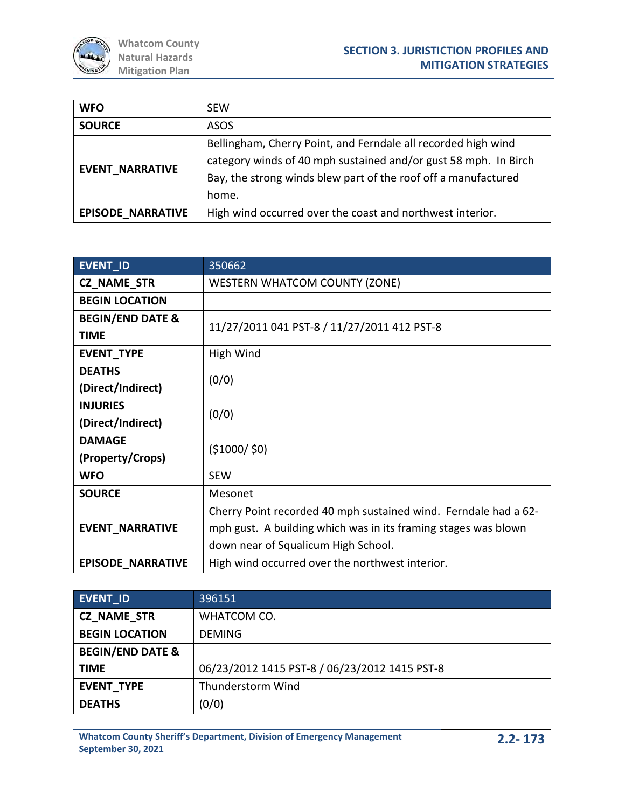| <b>WFO</b>               | <b>SEW</b>                                                                                                                                                                                                  |
|--------------------------|-------------------------------------------------------------------------------------------------------------------------------------------------------------------------------------------------------------|
| <b>SOURCE</b>            | ASOS                                                                                                                                                                                                        |
| <b>EVENT NARRATIVE</b>   | Bellingham, Cherry Point, and Ferndale all recorded high wind<br>category winds of 40 mph sustained and/or gust 58 mph. In Birch<br>Bay, the strong winds blew part of the roof off a manufactured<br>home. |
| <b>EPISODE NARRATIVE</b> | High wind occurred over the coast and northwest interior.                                                                                                                                                   |

| <b>EVENT ID</b>             | 350662                                                          |
|-----------------------------|-----------------------------------------------------------------|
| <b>CZ NAME STR</b>          | <b>WESTERN WHATCOM COUNTY (ZONE)</b>                            |
| <b>BEGIN LOCATION</b>       |                                                                 |
| <b>BEGIN/END DATE &amp;</b> | 11/27/2011 041 PST-8 / 11/27/2011 412 PST-8                     |
| <b>TIME</b>                 |                                                                 |
| EVENT_TYPE                  | High Wind                                                       |
| <b>DEATHS</b>               | (0/0)                                                           |
| (Direct/Indirect)           |                                                                 |
| <b>INJURIES</b>             | (0/0)                                                           |
| (Direct/Indirect)           |                                                                 |
| <b>DAMAGE</b>               | (51000/50)                                                      |
| (Property/Crops)            |                                                                 |
| <b>WFO</b>                  | <b>SEW</b>                                                      |
| <b>SOURCE</b>               | Mesonet                                                         |
|                             | Cherry Point recorded 40 mph sustained wind. Ferndale had a 62- |
| <b>EVENT NARRATIVE</b>      | mph gust. A building which was in its framing stages was blown  |
|                             | down near of Squalicum High School.                             |
| <b>EPISODE NARRATIVE</b>    | High wind occurred over the northwest interior.                 |

| <b>EVENT ID</b>             | 396151                                        |
|-----------------------------|-----------------------------------------------|
| <b>CZ NAME STR</b>          | WHATCOM CO.                                   |
| <b>BEGIN LOCATION</b>       | <b>DEMING</b>                                 |
| <b>BEGIN/END DATE &amp;</b> |                                               |
| <b>TIME</b>                 | 06/23/2012 1415 PST-8 / 06/23/2012 1415 PST-8 |
| <b>EVENT TYPE</b>           | Thunderstorm Wind                             |
| <b>DEATHS</b>               | (0/0)                                         |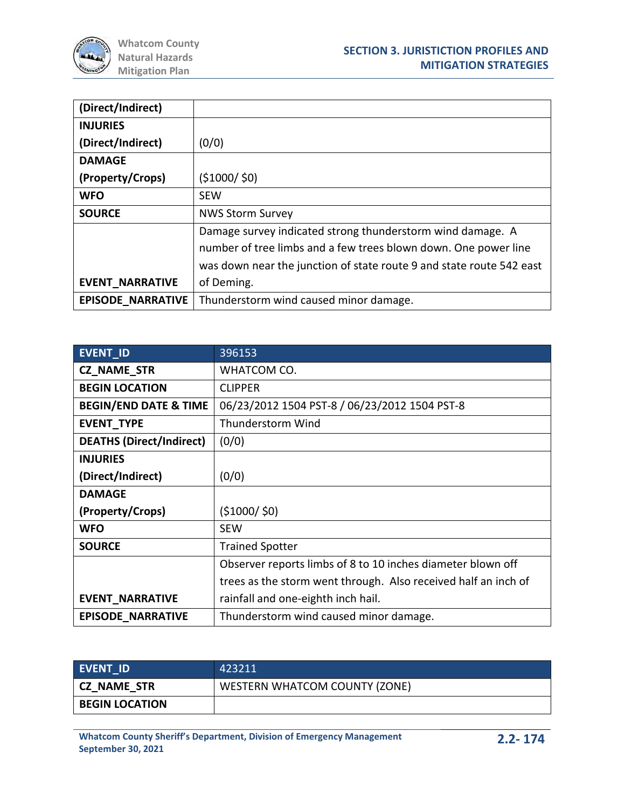

| (Direct/Indirect)        |                                                                      |
|--------------------------|----------------------------------------------------------------------|
| <b>INJURIES</b>          |                                                                      |
| (Direct/Indirect)        | (0/0)                                                                |
| <b>DAMAGE</b>            |                                                                      |
| (Property/Crops)         | (51000/50)                                                           |
| <b>WFO</b>               | <b>SEW</b>                                                           |
| <b>SOURCE</b>            | <b>NWS Storm Survey</b>                                              |
|                          | Damage survey indicated strong thunderstorm wind damage. A           |
|                          | number of tree limbs and a few trees blown down. One power line      |
|                          | was down near the junction of state route 9 and state route 542 east |
| <b>EVENT NARRATIVE</b>   | of Deming.                                                           |
| <b>EPISODE NARRATIVE</b> | Thunderstorm wind caused minor damage.                               |

| EVENT_ID                         | 396153                                                         |
|----------------------------------|----------------------------------------------------------------|
| <b>CZ NAME STR</b>               | WHATCOM CO.                                                    |
| <b>BEGIN LOCATION</b>            | <b>CLIPPER</b>                                                 |
| <b>BEGIN/END DATE &amp; TIME</b> | 06/23/2012 1504 PST-8 / 06/23/2012 1504 PST-8                  |
| <b>EVENT TYPE</b>                | Thunderstorm Wind                                              |
| <b>DEATHS (Direct/Indirect)</b>  | (0/0)                                                          |
| <b>INJURIES</b>                  |                                                                |
| (Direct/Indirect)                | (0/0)                                                          |
| <b>DAMAGE</b>                    |                                                                |
| (Property/Crops)                 | (\$1000/ \$0)                                                  |
| <b>WFO</b>                       | <b>SEW</b>                                                     |
| <b>SOURCE</b>                    | <b>Trained Spotter</b>                                         |
|                                  | Observer reports limbs of 8 to 10 inches diameter blown off    |
|                                  | trees as the storm went through. Also received half an inch of |
| <b>EVENT_NARRATIVE</b>           | rainfall and one-eighth inch hail.                             |
| <b>EPISODE NARRATIVE</b>         | Thunderstorm wind caused minor damage.                         |

| <b>EVENT ID</b>       | 423211                        |
|-----------------------|-------------------------------|
| CZ NAME STR           | WESTERN WHATCOM COUNTY (ZONE) |
| <b>BEGIN LOCATION</b> |                               |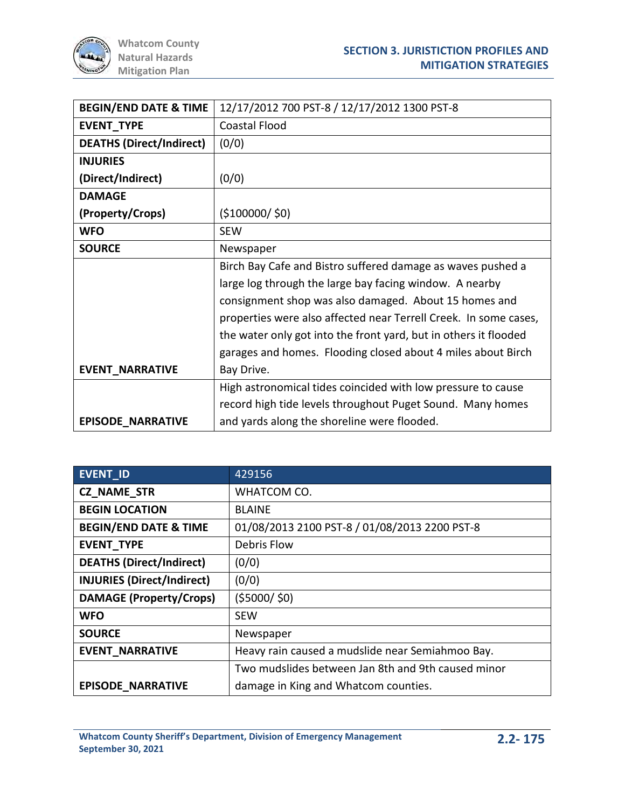

| <b>BEGIN/END DATE &amp; TIME</b> | 12/17/2012 700 PST-8 / 12/17/2012 1300 PST-8                     |
|----------------------------------|------------------------------------------------------------------|
| EVENT_TYPE                       | <b>Coastal Flood</b>                                             |
| <b>DEATHS (Direct/Indirect)</b>  | (0/0)                                                            |
| <b>INJURIES</b>                  |                                                                  |
| (Direct/Indirect)                | (0/0)                                                            |
| <b>DAMAGE</b>                    |                                                                  |
| (Property/Crops)                 | ( \$100000 / \$0)                                                |
| <b>WFO</b>                       | <b>SEW</b>                                                       |
| <b>SOURCE</b>                    | Newspaper                                                        |
|                                  | Birch Bay Cafe and Bistro suffered damage as waves pushed a      |
|                                  | large log through the large bay facing window. A nearby          |
|                                  | consignment shop was also damaged. About 15 homes and            |
|                                  | properties were also affected near Terrell Creek. In some cases, |
|                                  | the water only got into the front yard, but in others it flooded |
|                                  | garages and homes. Flooding closed about 4 miles about Birch     |
| <b>EVENT NARRATIVE</b>           | Bay Drive.                                                       |
|                                  | High astronomical tides coincided with low pressure to cause     |
|                                  | record high tide levels throughout Puget Sound. Many homes       |
| <b>EPISODE NARRATIVE</b>         | and yards along the shoreline were flooded.                      |

| <b>EVENT ID</b>                   | 429156                                             |
|-----------------------------------|----------------------------------------------------|
| <b>CZ NAME STR</b>                | WHATCOM CO.                                        |
| <b>BEGIN LOCATION</b>             | <b>BLAINE</b>                                      |
| <b>BEGIN/END DATE &amp; TIME</b>  | 01/08/2013 2100 PST-8 / 01/08/2013 2200 PST-8      |
| <b>EVENT TYPE</b>                 | Debris Flow                                        |
| <b>DEATHS (Direct/Indirect)</b>   | (0/0)                                              |
| <b>INJURIES (Direct/Indirect)</b> | (0/0)                                              |
| <b>DAMAGE (Property/Crops)</b>    | (55000/50)                                         |
| <b>WFO</b>                        | <b>SEW</b>                                         |
| <b>SOURCE</b>                     | Newspaper                                          |
| <b>EVENT NARRATIVE</b>            | Heavy rain caused a mudslide near Semiahmoo Bay.   |
|                                   | Two mudslides between Jan 8th and 9th caused minor |
| <b>EPISODE NARRATIVE</b>          | damage in King and Whatcom counties.               |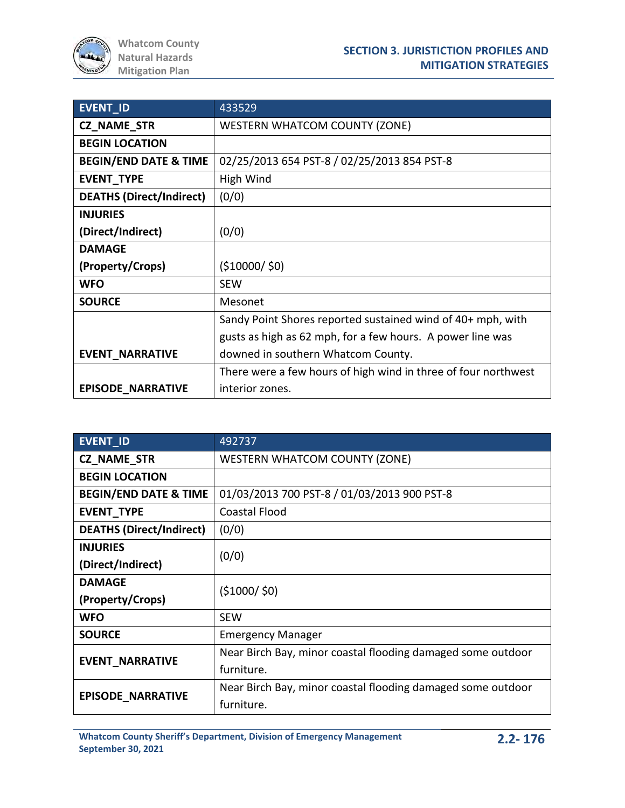| <b>EVENT_ID</b>                  | 433529                                                         |
|----------------------------------|----------------------------------------------------------------|
| <b>CZ_NAME_STR</b>               | <b>WESTERN WHATCOM COUNTY (ZONE)</b>                           |
| <b>BEGIN LOCATION</b>            |                                                                |
| <b>BEGIN/END DATE &amp; TIME</b> | 02/25/2013 654 PST-8 / 02/25/2013 854 PST-8                    |
| <b>EVENT TYPE</b>                | High Wind                                                      |
| <b>DEATHS (Direct/Indirect)</b>  | (0/0)                                                          |
| <b>INJURIES</b>                  |                                                                |
| (Direct/Indirect)                | (0/0)                                                          |
| <b>DAMAGE</b>                    |                                                                |
| (Property/Crops)                 | ( \$10000 / \$0)                                               |
| <b>WFO</b>                       | <b>SEW</b>                                                     |
| <b>SOURCE</b>                    | Mesonet                                                        |
|                                  | Sandy Point Shores reported sustained wind of 40+ mph, with    |
|                                  | gusts as high as 62 mph, for a few hours. A power line was     |
| <b>EVENT_NARRATIVE</b>           | downed in southern Whatcom County.                             |
|                                  | There were a few hours of high wind in three of four northwest |
| <b>EPISODE NARRATIVE</b>         | interior zones.                                                |

| <b>EVENT ID</b>                  | 492737                                                      |
|----------------------------------|-------------------------------------------------------------|
| <b>CZ_NAME_STR</b>               | <b>WESTERN WHATCOM COUNTY (ZONE)</b>                        |
| <b>BEGIN LOCATION</b>            |                                                             |
| <b>BEGIN/END DATE &amp; TIME</b> | 01/03/2013 700 PST-8 / 01/03/2013 900 PST-8                 |
| <b>EVENT TYPE</b>                | <b>Coastal Flood</b>                                        |
| <b>DEATHS (Direct/Indirect)</b>  | (0/0)                                                       |
| <b>INJURIES</b>                  | (0/0)                                                       |
| (Direct/Indirect)                |                                                             |
| <b>DAMAGE</b>                    | (51000/50)                                                  |
| (Property/Crops)                 |                                                             |
| <b>WFO</b>                       | <b>SEW</b>                                                  |
| <b>SOURCE</b>                    | <b>Emergency Manager</b>                                    |
| <b>EVENT NARRATIVE</b>           | Near Birch Bay, minor coastal flooding damaged some outdoor |
|                                  | furniture.                                                  |
| <b>EPISODE NARRATIVE</b>         | Near Birch Bay, minor coastal flooding damaged some outdoor |
|                                  | furniture.                                                  |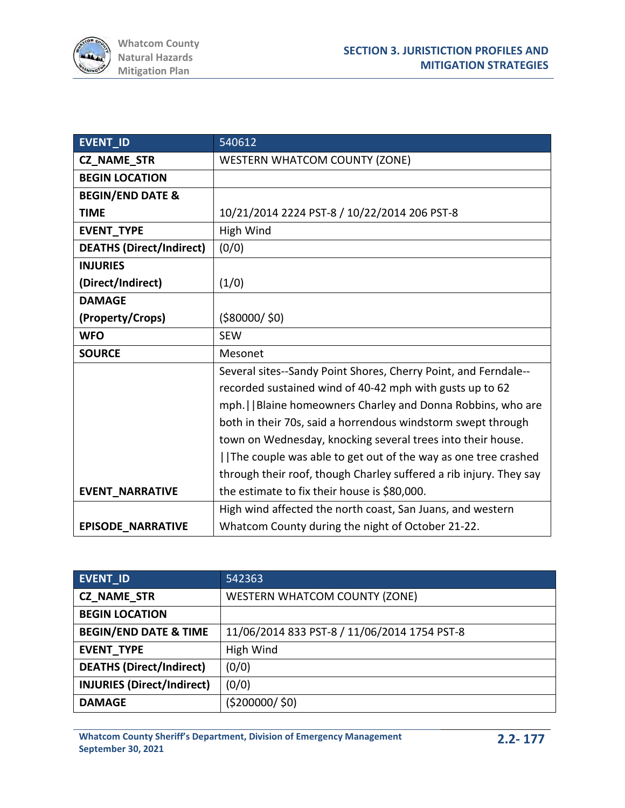

| <b>EVENT_ID</b>                 | 540612                                                             |
|---------------------------------|--------------------------------------------------------------------|
| <b>CZ_NAME_STR</b>              | <b>WESTERN WHATCOM COUNTY (ZONE)</b>                               |
| <b>BEGIN LOCATION</b>           |                                                                    |
| <b>BEGIN/END DATE &amp;</b>     |                                                                    |
| <b>TIME</b>                     | 10/21/2014 2224 PST-8 / 10/22/2014 206 PST-8                       |
| <b>EVENT TYPE</b>               | High Wind                                                          |
| <b>DEATHS (Direct/Indirect)</b> | (0/0)                                                              |
| <b>INJURIES</b>                 |                                                                    |
| (Direct/Indirect)               | (1/0)                                                              |
| <b>DAMAGE</b>                   |                                                                    |
| (Property/Crops)                | ( \$80000 / \$0)                                                   |
| <b>WFO</b>                      | <b>SEW</b>                                                         |
| <b>SOURCE</b>                   | Mesonet                                                            |
|                                 | Several sites--Sandy Point Shores, Cherry Point, and Ferndale--    |
|                                 | recorded sustained wind of 40-42 mph with gusts up to 62           |
|                                 | mph.     Blaine homeowners Charley and Donna Robbins, who are      |
|                                 | both in their 70s, said a horrendous windstorm swept through       |
|                                 | town on Wednesday, knocking several trees into their house.        |
|                                 | The couple was able to get out of the way as one tree crashed      |
|                                 | through their roof, though Charley suffered a rib injury. They say |
| <b>EVENT_NARRATIVE</b>          | the estimate to fix their house is \$80,000.                       |
|                                 | High wind affected the north coast, San Juans, and western         |
| <b>EPISODE NARRATIVE</b>        | Whatcom County during the night of October 21-22.                  |

| EVENT_ID                          | 542363                                       |
|-----------------------------------|----------------------------------------------|
| <b>CZ NAME STR</b>                | <b>WESTERN WHATCOM COUNTY (ZONE)</b>         |
| <b>BEGIN LOCATION</b>             |                                              |
| <b>BEGIN/END DATE &amp; TIME</b>  | 11/06/2014 833 PST-8 / 11/06/2014 1754 PST-8 |
| <b>EVENT TYPE</b>                 | High Wind                                    |
| <b>DEATHS (Direct/Indirect)</b>   | (0/0)                                        |
| <b>INJURIES (Direct/Indirect)</b> | (0/0)                                        |
| <b>DAMAGE</b>                     | ( \$200000 / \$0)                            |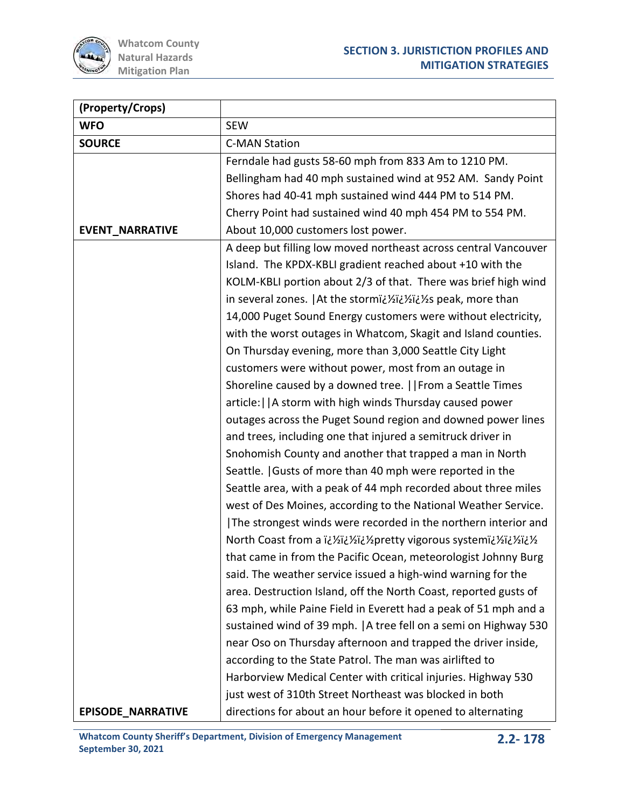

| (Property/Crops)         |                                                                   |
|--------------------------|-------------------------------------------------------------------|
| <b>WFO</b>               | <b>SEW</b>                                                        |
| <b>SOURCE</b>            | <b>C-MAN Station</b>                                              |
|                          | Ferndale had gusts 58-60 mph from 833 Am to 1210 PM.              |
|                          | Bellingham had 40 mph sustained wind at 952 AM. Sandy Point       |
|                          | Shores had 40-41 mph sustained wind 444 PM to 514 PM.             |
|                          | Cherry Point had sustained wind 40 mph 454 PM to 554 PM.          |
| <b>EVENT_NARRATIVE</b>   | About 10,000 customers lost power.                                |
|                          | A deep but filling low moved northeast across central Vancouver   |
|                          | Island. The KPDX-KBLI gradient reached about +10 with the         |
|                          | KOLM-KBLI portion about 2/3 of that. There was brief high wind    |
|                          | in several zones.   At the stormi¿1/2i¿1/2/25 peak, more than     |
|                          | 14,000 Puget Sound Energy customers were without electricity,     |
|                          | with the worst outages in Whatcom, Skagit and Island counties.    |
|                          | On Thursday evening, more than 3,000 Seattle City Light           |
|                          | customers were without power, most from an outage in              |
|                          | Shoreline caused by a downed tree.     From a Seattle Times       |
|                          | article:     A storm with high winds Thursday caused power        |
|                          | outages across the Puget Sound region and downed power lines      |
|                          | and trees, including one that injured a semitruck driver in       |
|                          | Snohomish County and another that trapped a man in North          |
|                          | Seattle.   Gusts of more than 40 mph were reported in the         |
|                          | Seattle area, with a peak of 44 mph recorded about three miles    |
|                          | west of Des Moines, according to the National Weather Service.    |
|                          | The strongest winds were recorded in the northern interior and    |
|                          | North Coast from a i¿1/2i¿1/2jpretty vigorous systemi¿1/2i¿1/21/2 |
|                          | that came in from the Pacific Ocean, meteorologist Johnny Burg    |
|                          | said. The weather service issued a high-wind warning for the      |
|                          | area. Destruction Island, off the North Coast, reported gusts of  |
|                          | 63 mph, while Paine Field in Everett had a peak of 51 mph and a   |
|                          | sustained wind of 39 mph.   A tree fell on a semi on Highway 530  |
|                          | near Oso on Thursday afternoon and trapped the driver inside,     |
|                          | according to the State Patrol. The man was airlifted to           |
|                          | Harborview Medical Center with critical injuries. Highway 530     |
|                          | just west of 310th Street Northeast was blocked in both           |
| <b>EPISODE_NARRATIVE</b> | directions for about an hour before it opened to alternating      |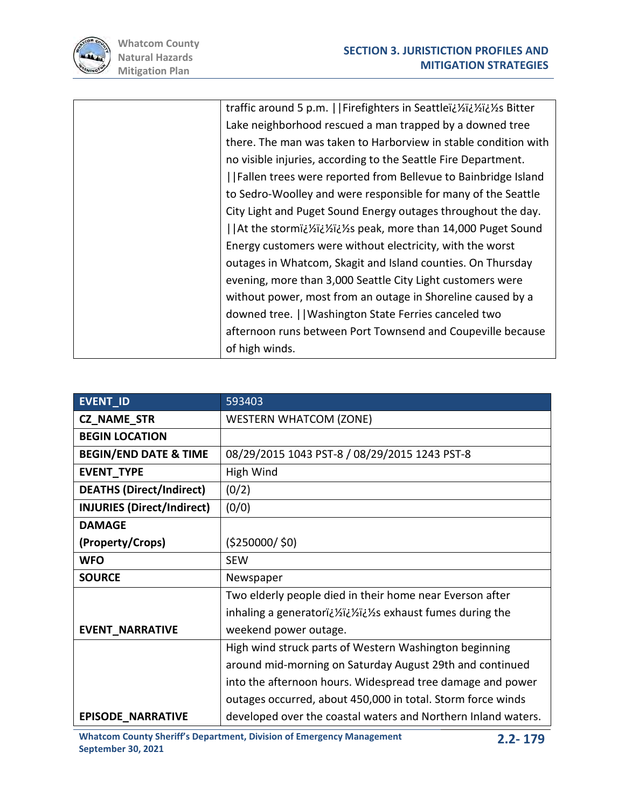

| traffic around 5 p.m.     Firefighters in Seattleï¿ 1/2i¿ 1/2i¿ S Bitter                        |
|-------------------------------------------------------------------------------------------------|
| Lake neighborhood rescued a man trapped by a downed tree                                        |
| there. The man was taken to Harborview in stable condition with                                 |
| no visible injuries, according to the Seattle Fire Department.                                  |
| Fallen trees were reported from Bellevue to Bainbridge Island                                   |
| to Sedro-Woolley and were responsible for many of the Seattle                                   |
| City Light and Puget Sound Energy outages throughout the day.                                   |
| Sizing and than 14,000 Puget Sound   At the storm iz 15 yiz speak, more than 14,000 Puget Sound |
| Energy customers were without electricity, with the worst                                       |
| outages in Whatcom, Skagit and Island counties. On Thursday                                     |
| evening, more than 3,000 Seattle City Light customers were                                      |
| without power, most from an outage in Shoreline caused by a                                     |
| downed tree.     Washington State Ferries canceled two                                          |
| afternoon runs between Port Townsend and Coupeville because                                     |
| of high winds.                                                                                  |

| <b>EVENT ID</b>                   | 593403                                                        |
|-----------------------------------|---------------------------------------------------------------|
| <b>CZ_NAME_STR</b>                | <b>WESTERN WHATCOM (ZONE)</b>                                 |
| <b>BEGIN LOCATION</b>             |                                                               |
| <b>BEGIN/END DATE &amp; TIME</b>  | 08/29/2015 1043 PST-8 / 08/29/2015 1243 PST-8                 |
| EVENT_TYPE                        | High Wind                                                     |
| <b>DEATHS (Direct/Indirect)</b>   | (0/2)                                                         |
| <b>INJURIES (Direct/Indirect)</b> | (0/0)                                                         |
| <b>DAMAGE</b>                     |                                                               |
| (Property/Crops)                  | (5250000/50)                                                  |
| <b>WFO</b>                        | <b>SEW</b>                                                    |
| <b>SOURCE</b>                     | Newspaper                                                     |
|                                   | Two elderly people died in their home near Everson after      |
|                                   | inhaling a generatori¿½i¿½i¿½s exhaust fumes during the       |
| <b>EVENT_NARRATIVE</b>            | weekend power outage.                                         |
|                                   | High wind struck parts of Western Washington beginning        |
|                                   | around mid-morning on Saturday August 29th and continued      |
|                                   | into the afternoon hours. Widespread tree damage and power    |
|                                   | outages occurred, about 450,000 in total. Storm force winds   |
| <b>EPISODE_NARRATIVE</b>          | developed over the coastal waters and Northern Inland waters. |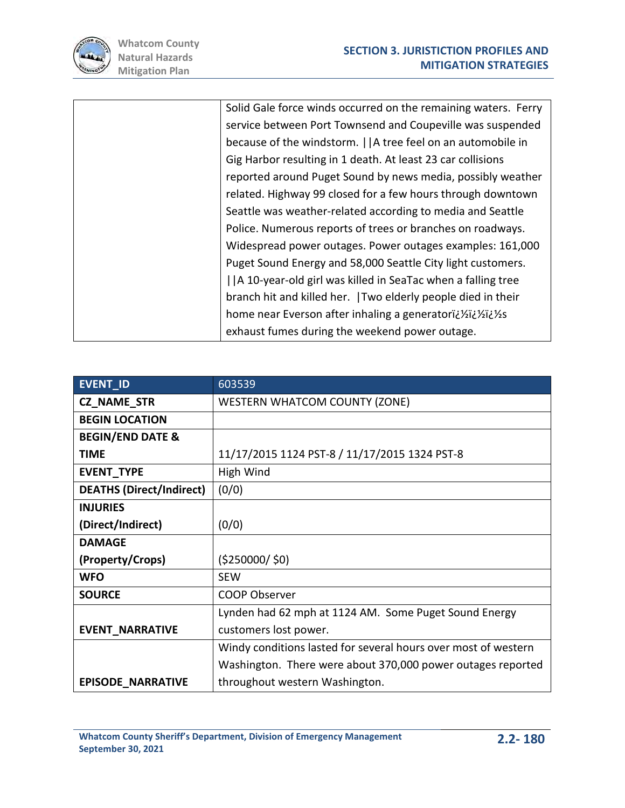

| Solid Gale force winds occurred on the remaining waters. Ferry |
|----------------------------------------------------------------|
| service between Port Townsend and Coupeville was suspended     |
| because of the windstorm.     A tree feel on an automobile in  |
| Gig Harbor resulting in 1 death. At least 23 car collisions    |
| reported around Puget Sound by news media, possibly weather    |
| related. Highway 99 closed for a few hours through downtown    |
| Seattle was weather-related according to media and Seattle     |
| Police. Numerous reports of trees or branches on roadways.     |
| Widespread power outages. Power outages examples: 161,000      |
| Puget Sound Energy and 58,000 Seattle City light customers.    |
| A 10-year-old girl was killed in SeaTac when a falling tree    |
| branch hit and killed her. Two elderly people died in their    |
| home near Everson after inhaling a generatori¿ 1/2i¿ 1/2/2s    |
| exhaust fumes during the weekend power outage.                 |

| <b>EVENT ID</b>                 | 603539                                                         |
|---------------------------------|----------------------------------------------------------------|
| <b>CZ_NAME_STR</b>              | <b>WESTERN WHATCOM COUNTY (ZONE)</b>                           |
| <b>BEGIN LOCATION</b>           |                                                                |
| <b>BEGIN/END DATE &amp;</b>     |                                                                |
| <b>TIME</b>                     | 11/17/2015 1124 PST-8 / 11/17/2015 1324 PST-8                  |
| EVENT_TYPE                      | High Wind                                                      |
| <b>DEATHS (Direct/Indirect)</b> | (0/0)                                                          |
| <b>INJURIES</b>                 |                                                                |
| (Direct/Indirect)               | (0/0)                                                          |
| <b>DAMAGE</b>                   |                                                                |
| (Property/Crops)                | (5250000/50)                                                   |
| <b>WFO</b>                      | <b>SEW</b>                                                     |
| <b>SOURCE</b>                   | <b>COOP Observer</b>                                           |
|                                 | Lynden had 62 mph at 1124 AM. Some Puget Sound Energy          |
| <b>EVENT NARRATIVE</b>          | customers lost power.                                          |
|                                 | Windy conditions lasted for several hours over most of western |
|                                 | Washington. There were about 370,000 power outages reported    |
| <b>EPISODE_NARRATIVE</b>        | throughout western Washington.                                 |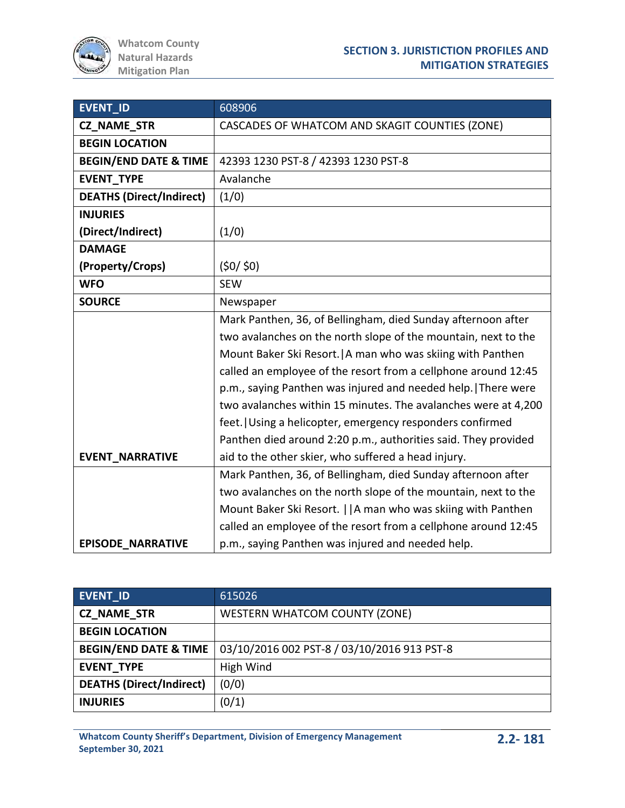| <b>EVENT ID</b>                  | 608906                                                         |
|----------------------------------|----------------------------------------------------------------|
| CZ_NAME_STR                      | CASCADES OF WHATCOM AND SKAGIT COUNTIES (ZONE)                 |
| <b>BEGIN LOCATION</b>            |                                                                |
| <b>BEGIN/END DATE &amp; TIME</b> | 42393 1230 PST-8 / 42393 1230 PST-8                            |
| <b>EVENT TYPE</b>                | Avalanche                                                      |
| <b>DEATHS (Direct/Indirect)</b>  | (1/0)                                                          |
| <b>INJURIES</b>                  |                                                                |
| (Direct/Indirect)                | (1/0)                                                          |
| <b>DAMAGE</b>                    |                                                                |
| (Property/Crops)                 | (50/50)                                                        |
| <b>WFO</b>                       | <b>SEW</b>                                                     |
| <b>SOURCE</b>                    | Newspaper                                                      |
|                                  | Mark Panthen, 36, of Bellingham, died Sunday afternoon after   |
|                                  | two avalanches on the north slope of the mountain, next to the |
|                                  | Mount Baker Ski Resort.   A man who was skiing with Panthen    |
|                                  | called an employee of the resort from a cellphone around 12:45 |
|                                  | p.m., saying Panthen was injured and needed help. There were   |
|                                  | two avalanches within 15 minutes. The avalanches were at 4,200 |
|                                  | feet. Using a helicopter, emergency responders confirmed       |
|                                  | Panthen died around 2:20 p.m., authorities said. They provided |
| <b>EVENT_NARRATIVE</b>           | aid to the other skier, who suffered a head injury.            |
|                                  | Mark Panthen, 36, of Bellingham, died Sunday afternoon after   |
|                                  | two avalanches on the north slope of the mountain, next to the |
|                                  | Mount Baker Ski Resort.     A man who was skiing with Panthen  |
|                                  | called an employee of the resort from a cellphone around 12:45 |
| <b>EPISODE NARRATIVE</b>         | p.m., saying Panthen was injured and needed help.              |

| EVENT_ID                         | 615026                                      |
|----------------------------------|---------------------------------------------|
| <b>CZ NAME STR</b>               | <b>WESTERN WHATCOM COUNTY (ZONE)</b>        |
| <b>BEGIN LOCATION</b>            |                                             |
| <b>BEGIN/END DATE &amp; TIME</b> | 03/10/2016 002 PST-8 / 03/10/2016 913 PST-8 |
| <b>EVENT TYPE</b>                | High Wind                                   |
| <b>DEATHS (Direct/Indirect)</b>  | (0/0)                                       |
| <b>INJURIES</b>                  | (0/1)                                       |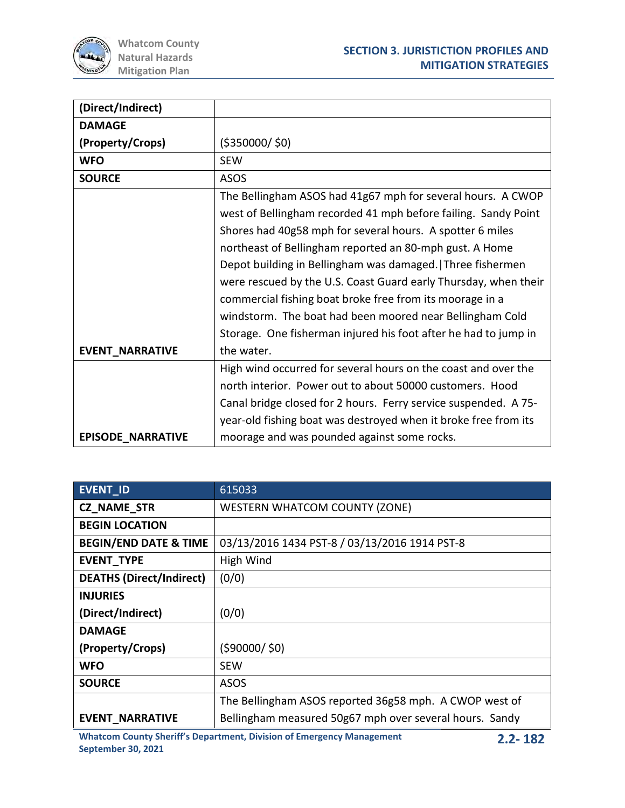

| (Direct/Indirect)        |                                                                                                                                                                                                                                                                                                                                                                                                                                                                                                                                                                                                |
|--------------------------|------------------------------------------------------------------------------------------------------------------------------------------------------------------------------------------------------------------------------------------------------------------------------------------------------------------------------------------------------------------------------------------------------------------------------------------------------------------------------------------------------------------------------------------------------------------------------------------------|
| <b>DAMAGE</b>            |                                                                                                                                                                                                                                                                                                                                                                                                                                                                                                                                                                                                |
| (Property/Crops)         | ( \$350000 / \$0)                                                                                                                                                                                                                                                                                                                                                                                                                                                                                                                                                                              |
| <b>WFO</b>               | <b>SEW</b>                                                                                                                                                                                                                                                                                                                                                                                                                                                                                                                                                                                     |
| <b>SOURCE</b>            | <b>ASOS</b>                                                                                                                                                                                                                                                                                                                                                                                                                                                                                                                                                                                    |
| <b>EVENT NARRATIVE</b>   | The Bellingham ASOS had 41g67 mph for several hours. A CWOP<br>west of Bellingham recorded 41 mph before failing. Sandy Point<br>Shores had 40g58 mph for several hours. A spotter 6 miles<br>northeast of Bellingham reported an 80-mph gust. A Home<br>Depot building in Bellingham was damaged. Three fishermen<br>were rescued by the U.S. Coast Guard early Thursday, when their<br>commercial fishing boat broke free from its moorage in a<br>windstorm. The boat had been moored near Bellingham Cold<br>Storage. One fisherman injured his foot after he had to jump in<br>the water. |
|                          | High wind occurred for several hours on the coast and over the                                                                                                                                                                                                                                                                                                                                                                                                                                                                                                                                 |
|                          | north interior. Power out to about 50000 customers. Hood                                                                                                                                                                                                                                                                                                                                                                                                                                                                                                                                       |
|                          | Canal bridge closed for 2 hours. Ferry service suspended. A 75-                                                                                                                                                                                                                                                                                                                                                                                                                                                                                                                                |
|                          | year-old fishing boat was destroyed when it broke free from its                                                                                                                                                                                                                                                                                                                                                                                                                                                                                                                                |
| <b>EPISODE NARRATIVE</b> | moorage and was pounded against some rocks.                                                                                                                                                                                                                                                                                                                                                                                                                                                                                                                                                    |

| <b>EVENT ID</b>                  | 615033                                                  |  |
|----------------------------------|---------------------------------------------------------|--|
| <b>CZ NAME STR</b>               | <b>WESTERN WHATCOM COUNTY (ZONE)</b>                    |  |
| <b>BEGIN LOCATION</b>            |                                                         |  |
| <b>BEGIN/END DATE &amp; TIME</b> | 03/13/2016 1434 PST-8 / 03/13/2016 1914 PST-8           |  |
| <b>EVENT TYPE</b>                | High Wind                                               |  |
| <b>DEATHS (Direct/Indirect)</b>  | (0/0)                                                   |  |
| <b>INJURIES</b>                  |                                                         |  |
| (Direct/Indirect)                | (0/0)                                                   |  |
| <b>DAMAGE</b>                    |                                                         |  |
| (Property/Crops)                 | (590000/50)                                             |  |
| <b>WFO</b>                       | <b>SEW</b>                                              |  |
| <b>SOURCE</b>                    | <b>ASOS</b>                                             |  |
|                                  | The Bellingham ASOS reported 36g58 mph. A CWOP west of  |  |
| <b>EVENT NARRATIVE</b>           | Bellingham measured 50g67 mph over several hours. Sandy |  |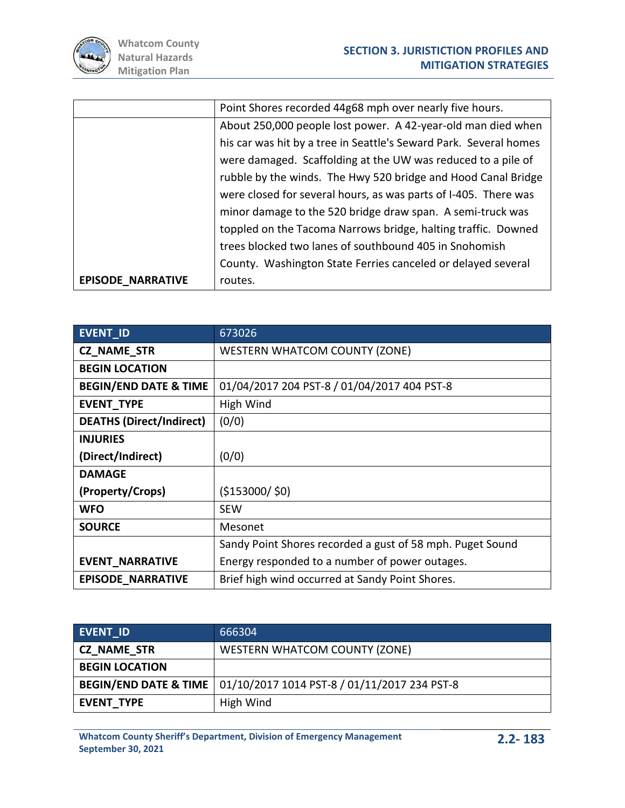

|                          | Point Shores recorded 44g68 mph over nearly five hours.           |
|--------------------------|-------------------------------------------------------------------|
|                          | About 250,000 people lost power. A 42-year-old man died when      |
|                          | his car was hit by a tree in Seattle's Seward Park. Several homes |
|                          | were damaged. Scaffolding at the UW was reduced to a pile of      |
|                          | rubble by the winds. The Hwy 520 bridge and Hood Canal Bridge     |
|                          | were closed for several hours, as was parts of I-405. There was   |
|                          | minor damage to the 520 bridge draw span. A semi-truck was        |
|                          | toppled on the Tacoma Narrows bridge, halting traffic. Downed     |
|                          | trees blocked two lanes of southbound 405 in Snohomish            |
|                          | County. Washington State Ferries canceled or delayed several      |
| <b>EPISODE NARRATIVE</b> | routes.                                                           |

| <b>EVENT ID</b>                  | 673026                                                    |  |
|----------------------------------|-----------------------------------------------------------|--|
| <b>CZ NAME STR</b>               | <b>WESTERN WHATCOM COUNTY (ZONE)</b>                      |  |
| <b>BEGIN LOCATION</b>            |                                                           |  |
| <b>BEGIN/END DATE &amp; TIME</b> | 01/04/2017 204 PST-8 / 01/04/2017 404 PST-8               |  |
| <b>EVENT_TYPE</b>                | High Wind                                                 |  |
| <b>DEATHS (Direct/Indirect)</b>  | (0/0)                                                     |  |
| <b>INJURIES</b>                  |                                                           |  |
| (Direct/Indirect)                | (0/0)                                                     |  |
| <b>DAMAGE</b>                    |                                                           |  |
| (Property/Crops)                 | (\$153000/\$0)                                            |  |
| <b>WFO</b>                       | <b>SEW</b>                                                |  |
| <b>SOURCE</b>                    | Mesonet                                                   |  |
|                                  | Sandy Point Shores recorded a gust of 58 mph. Puget Sound |  |
| <b>EVENT NARRATIVE</b>           | Energy responded to a number of power outages.            |  |
| <b>EPISODE NARRATIVE</b>         | Brief high wind occurred at Sandy Point Shores.           |  |

| <b>EVENT ID</b>                  | 666304                                       |
|----------------------------------|----------------------------------------------|
| <b>CZ_NAME_STR</b>               | <b>WESTERN WHATCOM COUNTY (ZONE)</b>         |
| <b>BEGIN LOCATION</b>            |                                              |
| <b>BEGIN/END DATE &amp; TIME</b> | 01/10/2017 1014 PST-8 / 01/11/2017 234 PST-8 |
| <b>EVENT TYPE</b>                | High Wind                                    |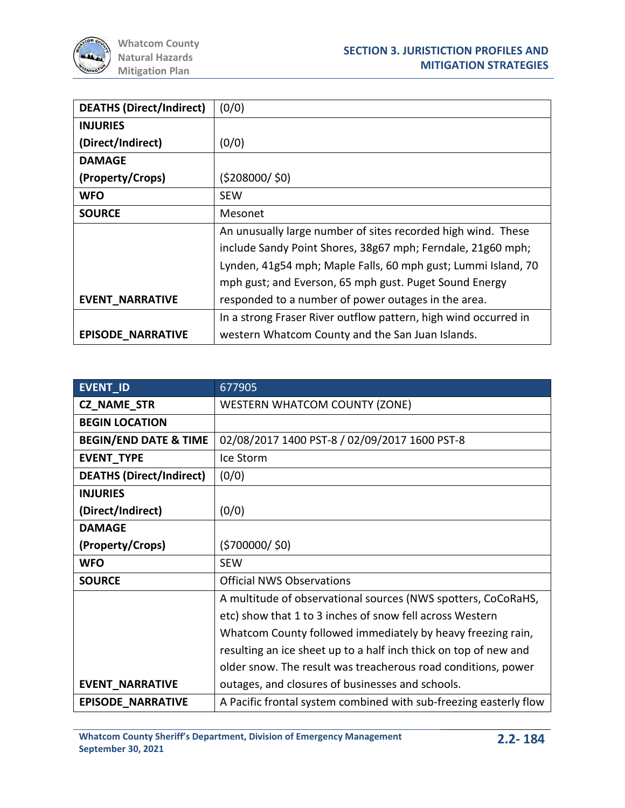| <b>DEATHS (Direct/Indirect)</b> | (0/0)                                                           |  |
|---------------------------------|-----------------------------------------------------------------|--|
| <b>INJURIES</b>                 |                                                                 |  |
| (Direct/Indirect)               | (0/0)                                                           |  |
| <b>DAMAGE</b>                   |                                                                 |  |
| (Property/Crops)                | (5208000/50)                                                    |  |
| <b>WFO</b>                      | <b>SEW</b>                                                      |  |
| <b>SOURCE</b>                   | Mesonet                                                         |  |
|                                 | An unusually large number of sites recorded high wind. These    |  |
|                                 | include Sandy Point Shores, 38g67 mph; Ferndale, 21g60 mph;     |  |
|                                 | Lynden, 41g54 mph; Maple Falls, 60 mph gust; Lummi Island, 70   |  |
|                                 | mph gust; and Everson, 65 mph gust. Puget Sound Energy          |  |
| <b>EVENT NARRATIVE</b>          | responded to a number of power outages in the area.             |  |
|                                 | In a strong Fraser River outflow pattern, high wind occurred in |  |
| <b>EPISODE NARRATIVE</b>        | western Whatcom County and the San Juan Islands.                |  |

| EVENT_ID                         | 677905                                                            |  |
|----------------------------------|-------------------------------------------------------------------|--|
| <b>CZ_NAME_STR</b>               | <b>WESTERN WHATCOM COUNTY (ZONE)</b>                              |  |
| <b>BEGIN LOCATION</b>            |                                                                   |  |
| <b>BEGIN/END DATE &amp; TIME</b> | 02/08/2017 1400 PST-8 / 02/09/2017 1600 PST-8                     |  |
| <b>EVENT_TYPE</b>                | Ice Storm                                                         |  |
| <b>DEATHS (Direct/Indirect)</b>  | (0/0)                                                             |  |
| <b>INJURIES</b>                  |                                                                   |  |
| (Direct/Indirect)                | (0/0)                                                             |  |
| <b>DAMAGE</b>                    |                                                                   |  |
| (Property/Crops)                 | (5700000/50)                                                      |  |
| <b>WFO</b>                       | <b>SEW</b>                                                        |  |
| <b>SOURCE</b>                    | <b>Official NWS Observations</b>                                  |  |
|                                  | A multitude of observational sources (NWS spotters, CoCoRaHS,     |  |
|                                  | etc) show that 1 to 3 inches of snow fell across Western          |  |
|                                  | Whatcom County followed immediately by heavy freezing rain,       |  |
|                                  | resulting an ice sheet up to a half inch thick on top of new and  |  |
|                                  | older snow. The result was treacherous road conditions, power     |  |
| <b>EVENT_NARRATIVE</b>           | outages, and closures of businesses and schools.                  |  |
| <b>EPISODE NARRATIVE</b>         | A Pacific frontal system combined with sub-freezing easterly flow |  |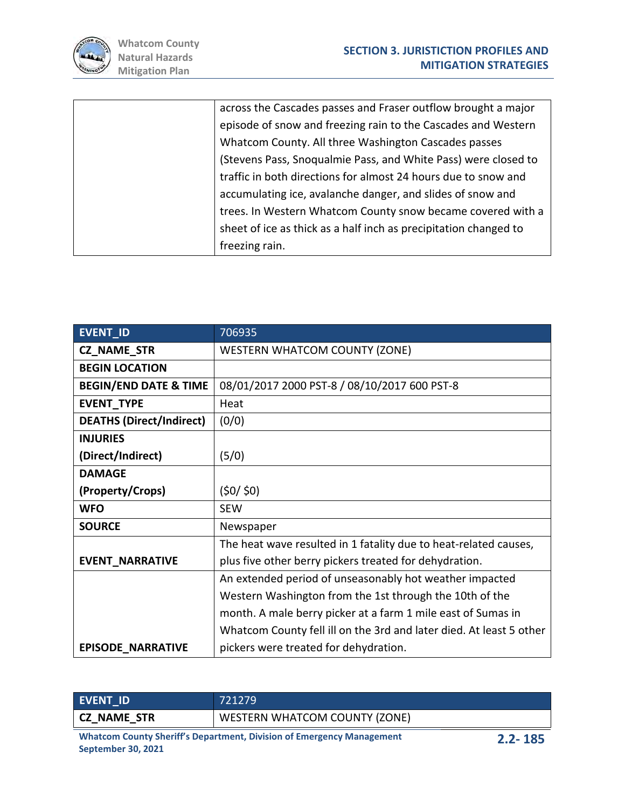

| across the Cascades passes and Fraser outflow brought a major    |
|------------------------------------------------------------------|
| episode of snow and freezing rain to the Cascades and Western    |
| Whatcom County. All three Washington Cascades passes             |
| (Stevens Pass, Snoqualmie Pass, and White Pass) were closed to   |
| traffic in both directions for almost 24 hours due to snow and   |
| accumulating ice, avalanche danger, and slides of snow and       |
| trees. In Western Whatcom County snow became covered with a      |
| sheet of ice as thick as a half inch as precipitation changed to |
| freezing rain.                                                   |
|                                                                  |

| <b>EVENT ID</b>                  | 706935                                                              |  |
|----------------------------------|---------------------------------------------------------------------|--|
| <b>CZ_NAME_STR</b>               | <b>WESTERN WHATCOM COUNTY (ZONE)</b>                                |  |
| <b>BEGIN LOCATION</b>            |                                                                     |  |
| <b>BEGIN/END DATE &amp; TIME</b> | 08/01/2017 2000 PST-8 / 08/10/2017 600 PST-8                        |  |
| <b>EVENT_TYPE</b>                | Heat                                                                |  |
| <b>DEATHS (Direct/Indirect)</b>  | (0/0)                                                               |  |
| <b>INJURIES</b>                  |                                                                     |  |
| (Direct/Indirect)                | (5/0)                                                               |  |
| <b>DAMAGE</b>                    |                                                                     |  |
| (Property/Crops)                 | (50/50)                                                             |  |
| <b>WFO</b>                       | <b>SEW</b>                                                          |  |
| <b>SOURCE</b>                    | Newspaper                                                           |  |
|                                  | The heat wave resulted in 1 fatality due to heat-related causes,    |  |
| <b>EVENT_NARRATIVE</b>           | plus five other berry pickers treated for dehydration.              |  |
|                                  | An extended period of unseasonably hot weather impacted             |  |
|                                  | Western Washington from the 1st through the 10th of the             |  |
|                                  | month. A male berry picker at a farm 1 mile east of Sumas in        |  |
|                                  | Whatcom County fell ill on the 3rd and later died. At least 5 other |  |
| <b>EPISODE NARRATIVE</b>         | pickers were treated for dehydration.                               |  |

| EVENT ID                                                              | 721279                        |        |
|-----------------------------------------------------------------------|-------------------------------|--------|
| <b>CZ NAME STR</b>                                                    | WESTERN WHATCOM COUNTY (ZONE) |        |
| Whatcom County Shariff's Denartment, Division of Emergency Management |                               | 33.40F |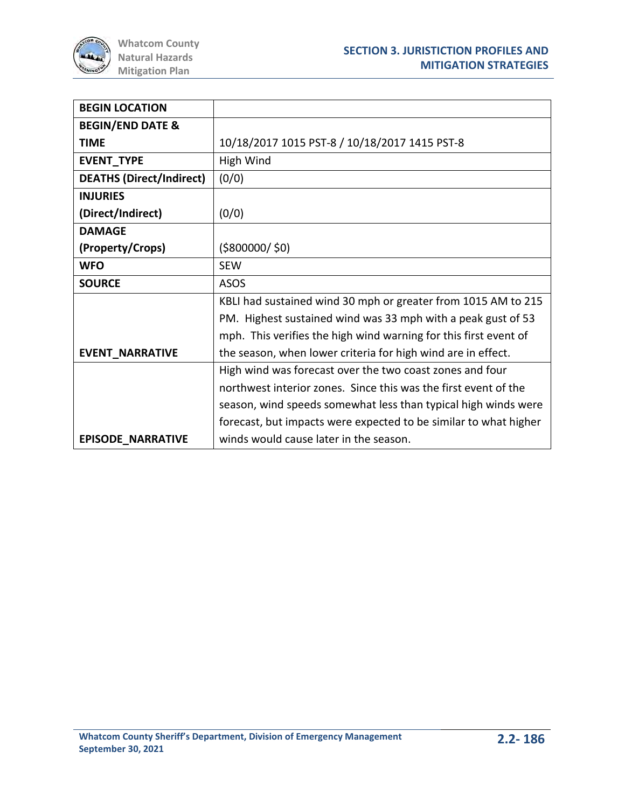

| <b>BEGIN LOCATION</b>           |                                                                  |
|---------------------------------|------------------------------------------------------------------|
| <b>BEGIN/END DATE &amp;</b>     |                                                                  |
| <b>TIME</b>                     | 10/18/2017 1015 PST-8 / 10/18/2017 1415 PST-8                    |
| <b>EVENT_TYPE</b>               | High Wind                                                        |
| <b>DEATHS (Direct/Indirect)</b> | (0/0)                                                            |
| <b>INJURIES</b>                 |                                                                  |
| (Direct/Indirect)               | (0/0)                                                            |
| <b>DAMAGE</b>                   |                                                                  |
| (Property/Crops)                | ( \$800000 / \$0)                                                |
| <b>WFO</b>                      | <b>SEW</b>                                                       |
| <b>SOURCE</b>                   | <b>ASOS</b>                                                      |
|                                 | KBLI had sustained wind 30 mph or greater from 1015 AM to 215    |
|                                 | PM. Highest sustained wind was 33 mph with a peak gust of 53     |
|                                 | mph. This verifies the high wind warning for this first event of |
| <b>EVENT_NARRATIVE</b>          | the season, when lower criteria for high wind are in effect.     |
|                                 | High wind was forecast over the two coast zones and four         |
|                                 | northwest interior zones. Since this was the first event of the  |
|                                 | season, wind speeds somewhat less than typical high winds were   |
|                                 | forecast, but impacts were expected to be similar to what higher |
| <b>EPISODE NARRATIVE</b>        | winds would cause later in the season.                           |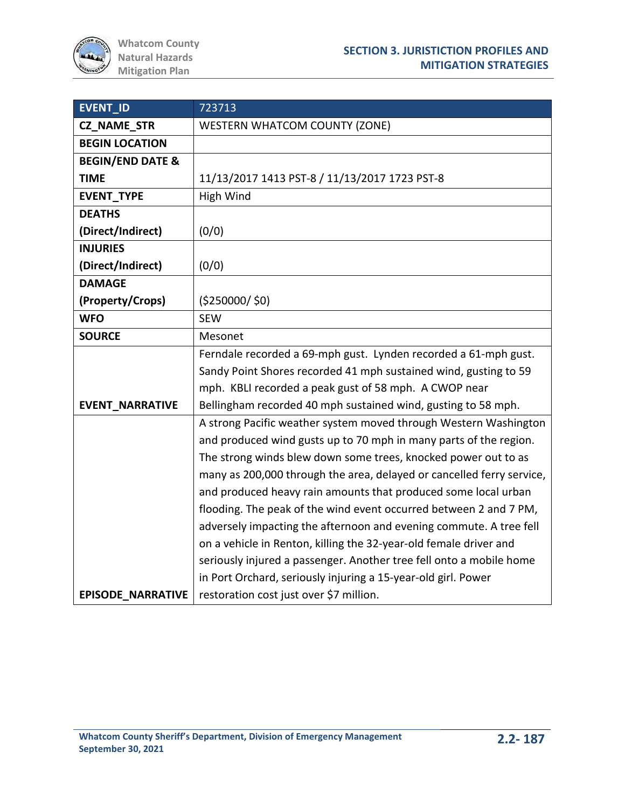| EVENT_ID                    | 723713                                                                |
|-----------------------------|-----------------------------------------------------------------------|
| <b>CZ_NAME_STR</b>          | <b>WESTERN WHATCOM COUNTY (ZONE)</b>                                  |
| <b>BEGIN LOCATION</b>       |                                                                       |
| <b>BEGIN/END DATE &amp;</b> |                                                                       |
| <b>TIME</b>                 | 11/13/2017 1413 PST-8 / 11/13/2017 1723 PST-8                         |
| <b>EVENT_TYPE</b>           | High Wind                                                             |
| <b>DEATHS</b>               |                                                                       |
| (Direct/Indirect)           | (0/0)                                                                 |
| <b>INJURIES</b>             |                                                                       |
| (Direct/Indirect)           | (0/0)                                                                 |
| <b>DAMAGE</b>               |                                                                       |
| (Property/Crops)            | (5250000/50)                                                          |
| <b>WFO</b>                  | <b>SEW</b>                                                            |
| <b>SOURCE</b>               | Mesonet                                                               |
|                             | Ferndale recorded a 69-mph gust. Lynden recorded a 61-mph gust.       |
|                             | Sandy Point Shores recorded 41 mph sustained wind, gusting to 59      |
|                             | mph. KBLI recorded a peak gust of 58 mph. A CWOP near                 |
| <b>EVENT NARRATIVE</b>      | Bellingham recorded 40 mph sustained wind, gusting to 58 mph.         |
|                             | A strong Pacific weather system moved through Western Washington      |
|                             | and produced wind gusts up to 70 mph in many parts of the region.     |
|                             | The strong winds blew down some trees, knocked power out to as        |
|                             | many as 200,000 through the area, delayed or cancelled ferry service, |
|                             | and produced heavy rain amounts that produced some local urban        |
|                             | flooding. The peak of the wind event occurred between 2 and 7 PM,     |
|                             | adversely impacting the afternoon and evening commute. A tree fell    |
|                             | on a vehicle in Renton, killing the 32-year-old female driver and     |
|                             | seriously injured a passenger. Another tree fell onto a mobile home   |
|                             | in Port Orchard, seriously injuring a 15-year-old girl. Power         |
| <b>EPISODE NARRATIVE</b>    | restoration cost just over \$7 million.                               |